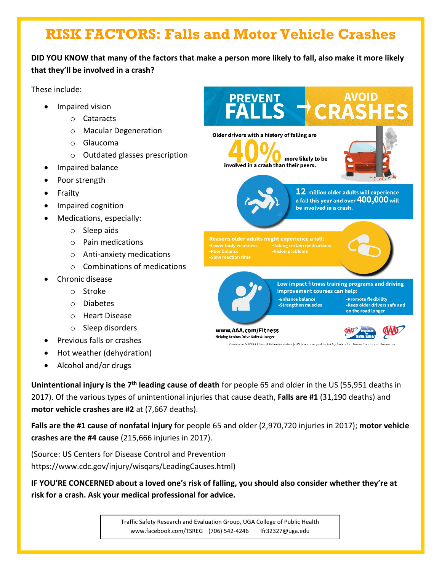# **RISK FACTORS: Falls and Motor Vehicle Crashes**

**DID YOU KNOW that many of the factors that make a person more likely to fall, also make it more likely that they'll be involved in a crash?**

These include:

- Impaired vision
	- o Cataracts
	- o Macular Degeneration
	- o Glaucoma
	- o Outdated glasses prescription
- Impaired balance
- Poor strength
- Frailty
- Impaired cognition
- Medications, especially:
	- o Sleep aids
	- o Pain medications
	- o Anti-anxiety medications
	- o Combinations of medications
- Chronic disease
	- o Stroke
	- o Diabetes
	- o Heart Disease
	- o Sleep disorders
- Previous falls or crashes
- Hot weather (dehydration)
- Alcohol and/or drugs

 $S \rightarrow CRL$ Older drivers with a history of falling are more likely to be involved in a crash than their peers.  $\bf 12$  million older adults will experience a fall this year and over  ${\bf 400{,}000}$  will be involved in a crash. Reasons older adults might experience a fall: **·Taking certain medications** -Poor balance **Vision problems** Low impact fitness training programs and driving improvement courses can help: «Enhance balance •Promote flexibility •Keep older drivers safe and •Strengthen muscles on the road longer

www.AAA.com/Fitness Helping Seniors Drive Safer & Longer



References: NHTSA General Estimates System (GES) data, analyzed by AAA, Centers for Disease Control and Prevention

**Unintentional injury is the 7th leading cause of death** for people 65 and older in the US (55,951 deaths in 2017). Of the various types of unintentional injuries that cause death, **Falls are #1** (31,190 deaths) and **motor vehicle crashes are #2** at (7,667 deaths).

**Falls are the #1 cause of nonfatal injury** for people 65 and older (2,970,720 injuries in 2017); **motor vehicle crashes are the #4 cause** (215,666 injuries in 2017).

(Source: US Centers for Disease Control and Prevention https://www.cdc.gov/injury/wisqars/LeadingCauses.html)

**IF YOU'RE CONCERNED about a loved one's risk of falling, you should also consider whether they're at risk for a crash. Ask your medical professional for advice.**

> Traffic Safety Research and Evaluation Group, UGA College of Public Health www.facebook.com/TSREG (706) 542-4246 lfr32327@uga.edu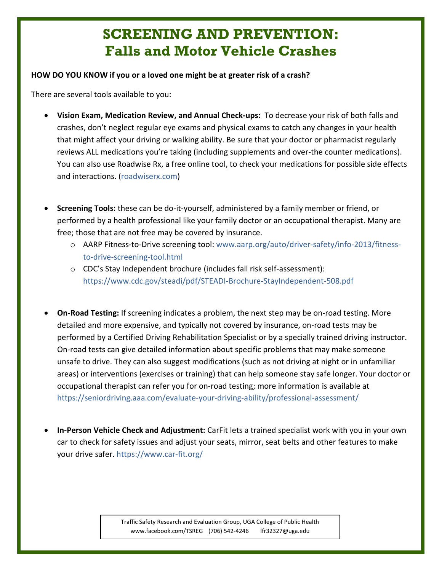## **SCREENING AND PREVENTION: Falls and Motor Vehicle Crashes**

#### **HOW DO YOU KNOW if you or a loved one might be at greater risk of a crash?**

There are several tools available to you:

- **Vision Exam, Medication Review, and Annual Check-ups:** To decrease your risk of both falls and crashes, don't neglect regular eye exams and physical exams to catch any changes in your health that might affect your driving or walking ability. Be sure that your doctor or pharmacist regularly reviews ALL medications you're taking (including supplements and over-the counter medications). You can also use Roadwise Rx, a free online tool, to check your medications for possible side effects and interactions. (roadwiserx.com)
- **Screening Tools:** these can be do-it-yourself, administered by a family member or friend, or performed by a health professional like your family doctor or an occupational therapist. Many are free; those that are not free may be covered by insurance.
	- o AARP Fitness-to-Drive screening tool: www.aarp.org/auto/driver-safety/info-2013/fitnessto-drive-screening-tool.html
	- o CDC's Stay Independent brochure (includes fall risk self-assessment): https://www.cdc.gov/steadi/pdf/STEADI-Brochure-StayIndependent-508.pdf
- **On-Road Testing:** If screening indicates a problem, the next step may be on-road testing. More detailed and more expensive, and typically not covered by insurance, on-road tests may be performed by a Certified Driving Rehabilitation Specialist or by a specially trained driving instructor. On-road tests can give detailed information about specific problems that may make someone unsafe to drive. They can also suggest modifications (such as not driving at night or in unfamiliar areas) or interventions (exercises or training) that can help someone stay safe longer. Your doctor or occupational therapist can refer you for on-road testing; more information is available at https://seniordriving.aaa.com/evaluate-your-driving-ability/professional-assessment/
- **In-Person Vehicle Check and Adjustment:** CarFit lets a trained specialist work with you in your own car to check for safety issues and adjust your seats, mirror, seat belts and other features to make your drive safer. https://www.car-fit.org/

Traffic Safety Research and Evaluation Group, UGA College of Public Health www.facebook.com/TSREG (706) 542-4246 lfr32327@uga.edu